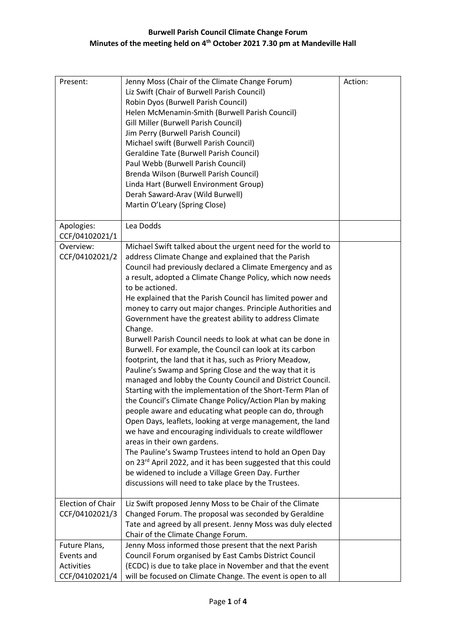| Present:                                                           | Jenny Moss (Chair of the Climate Change Forum)<br>Liz Swift (Chair of Burwell Parish Council)<br>Robin Dyos (Burwell Parish Council)<br>Helen McMenamin-Smith (Burwell Parish Council)<br>Gill Miller (Burwell Parish Council)<br>Jim Perry (Burwell Parish Council)<br>Michael swift (Burwell Parish Council)<br><b>Geraldine Tate (Burwell Parish Council)</b><br>Paul Webb (Burwell Parish Council)<br>Brenda Wilson (Burwell Parish Council)<br>Linda Hart (Burwell Environment Group)<br>Derah Saward-Arav (Wild Burwell)<br>Martin O'Leary (Spring Close)                                                                                                                                                                                                                                                                                                                                                                                                                                                                                                                                                                                                                                                                                                                                                                                                              | Action: |
|--------------------------------------------------------------------|------------------------------------------------------------------------------------------------------------------------------------------------------------------------------------------------------------------------------------------------------------------------------------------------------------------------------------------------------------------------------------------------------------------------------------------------------------------------------------------------------------------------------------------------------------------------------------------------------------------------------------------------------------------------------------------------------------------------------------------------------------------------------------------------------------------------------------------------------------------------------------------------------------------------------------------------------------------------------------------------------------------------------------------------------------------------------------------------------------------------------------------------------------------------------------------------------------------------------------------------------------------------------------------------------------------------------------------------------------------------------|---------|
| Apologies:<br>CCF/04102021/1                                       | Lea Dodds                                                                                                                                                                                                                                                                                                                                                                                                                                                                                                                                                                                                                                                                                                                                                                                                                                                                                                                                                                                                                                                                                                                                                                                                                                                                                                                                                                    |         |
| Overview:<br>CCF/04102021/2                                        | Michael Swift talked about the urgent need for the world to<br>address Climate Change and explained that the Parish<br>Council had previously declared a Climate Emergency and as<br>a result, adopted a Climate Change Policy, which now needs<br>to be actioned.<br>He explained that the Parish Council has limited power and<br>money to carry out major changes. Principle Authorities and<br>Government have the greatest ability to address Climate<br>Change.<br>Burwell Parish Council needs to look at what can be done in<br>Burwell. For example, the Council can look at its carbon<br>footprint, the land that it has, such as Priory Meadow,<br>Pauline's Swamp and Spring Close and the way that it is<br>managed and lobby the County Council and District Council.<br>Starting with the implementation of the Short-Term Plan of<br>the Council's Climate Change Policy/Action Plan by making<br>people aware and educating what people can do, through<br>Open Days, leaflets, looking at verge management, the land<br>we have and encouraging individuals to create wildflower<br>areas in their own gardens.<br>The Pauline's Swamp Trustees intend to hold an Open Day<br>on 23rd April 2022, and it has been suggested that this could<br>be widened to include a Village Green Day. Further<br>discussions will need to take place by the Trustees. |         |
| Election of Chair<br>CCF/04102021/3                                | Liz Swift proposed Jenny Moss to be Chair of the Climate<br>Changed Forum. The proposal was seconded by Geraldine<br>Tate and agreed by all present. Jenny Moss was duly elected<br>Chair of the Climate Change Forum.                                                                                                                                                                                                                                                                                                                                                                                                                                                                                                                                                                                                                                                                                                                                                                                                                                                                                                                                                                                                                                                                                                                                                       |         |
| Future Plans,<br>Events and<br><b>Activities</b><br>CCF/04102021/4 | Jenny Moss informed those present that the next Parish<br>Council Forum organised by East Cambs District Council<br>(ECDC) is due to take place in November and that the event<br>will be focused on Climate Change. The event is open to all                                                                                                                                                                                                                                                                                                                                                                                                                                                                                                                                                                                                                                                                                                                                                                                                                                                                                                                                                                                                                                                                                                                                |         |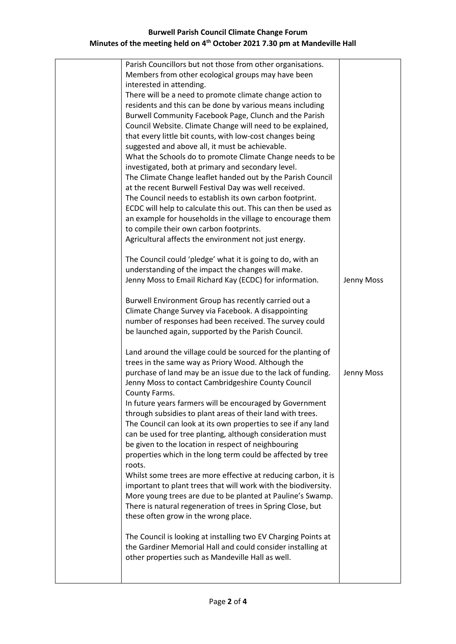## **Burwell Parish Council Climate Change Forum Minutes of the meeting held on 4th October 2021 7.30 pm at Mandeville Hall**

| Parish Councillors but not those from other organisations.     |            |
|----------------------------------------------------------------|------------|
| Members from other ecological groups may have been             |            |
| interested in attending.                                       |            |
| There will be a need to promote climate change action to       |            |
| residents and this can be done by various means including      |            |
| Burwell Community Facebook Page, Clunch and the Parish         |            |
| Council Website. Climate Change will need to be explained,     |            |
| that every little bit counts, with low-cost changes being      |            |
| suggested and above all, it must be achievable.                |            |
| What the Schools do to promote Climate Change needs to be      |            |
| investigated, both at primary and secondary level.             |            |
| The Climate Change leaflet handed out by the Parish Council    |            |
| at the recent Burwell Festival Day was well received.          |            |
| The Council needs to establish its own carbon footprint.       |            |
| ECDC will help to calculate this out. This can then be used as |            |
| an example for households in the village to encourage them     |            |
| to compile their own carbon footprints.                        |            |
| Agricultural affects the environment not just energy.          |            |
| The Council could 'pledge' what it is going to do, with an     |            |
| understanding of the impact the changes will make.             |            |
| Jenny Moss to Email Richard Kay (ECDC) for information.        | Jenny Moss |
|                                                                |            |
| Burwell Environment Group has recently carried out a           |            |
| Climate Change Survey via Facebook. A disappointing            |            |
| number of responses had been received. The survey could        |            |
| be launched again, supported by the Parish Council.            |            |
| Land around the village could be sourced for the planting of   |            |
| trees in the same way as Priory Wood. Although the             |            |
| purchase of land may be an issue due to the lack of funding.   | Jenny Moss |
| Jenny Moss to contact Cambridgeshire County Council            |            |
| County Farms.                                                  |            |
| In future years farmers will be encouraged by Government       |            |
| through subsidies to plant areas of their land with trees.     |            |
| The Council can look at its own properties to see if any land  |            |
| can be used for tree planting, although consideration must     |            |
| be given to the location in respect of neighbouring            |            |
| properties which in the long term could be affected by tree    |            |
| roots.                                                         |            |
| Whilst some trees are more effective at reducing carbon, it is |            |
| important to plant trees that will work with the biodiversity. |            |
| More young trees are due to be planted at Pauline's Swamp.     |            |
| There is natural regeneration of trees in Spring Close, but    |            |
| these often grow in the wrong place.                           |            |
|                                                                |            |
| The Council is looking at installing two EV Charging Points at |            |
| the Gardiner Memorial Hall and could consider installing at    |            |
| other properties such as Mandeville Hall as well.              |            |
|                                                                |            |
|                                                                |            |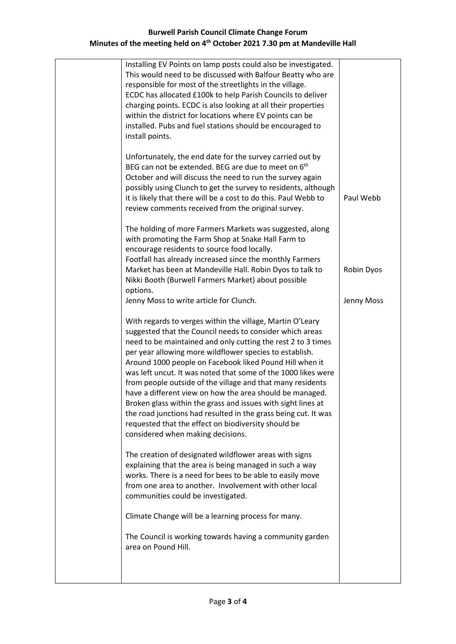## **Burwell Parish Council Climate Change Forum Minutes of the meeting held on 4th October 2021 7.30 pm at Mandeville Hall**

| Installing EV Points on lamp posts could also be investigated.<br>This would need to be discussed with Balfour Beatty who are<br>responsible for most of the streetlights in the village.<br>ECDC has allocated £100k to help Parish Councils to deliver<br>charging points. ECDC is also looking at all their properties<br>within the district for locations where EV points can be<br>installed. Pubs and fuel stations should be encouraged to<br>install points.                                                                                                                                                                                                                                                                |            |
|--------------------------------------------------------------------------------------------------------------------------------------------------------------------------------------------------------------------------------------------------------------------------------------------------------------------------------------------------------------------------------------------------------------------------------------------------------------------------------------------------------------------------------------------------------------------------------------------------------------------------------------------------------------------------------------------------------------------------------------|------------|
| Unfortunately, the end date for the survey carried out by<br>BEG can not be extended. BEG are due to meet on 6 <sup>th</sup><br>October and will discuss the need to run the survey again<br>possibly using Clunch to get the survey to residents, although<br>it is likely that there will be a cost to do this. Paul Webb to<br>review comments received from the original survey.                                                                                                                                                                                                                                                                                                                                                 | Paul Webb  |
| The holding of more Farmers Markets was suggested, along<br>with promoting the Farm Shop at Snake Hall Farm to<br>encourage residents to source food locally.<br>Footfall has already increased since the monthly Farmers<br>Market has been at Mandeville Hall. Robin Dyos to talk to<br>Nikki Booth (Burwell Farmers Market) about possible<br>options.                                                                                                                                                                                                                                                                                                                                                                            | Robin Dyos |
| Jenny Moss to write article for Clunch.                                                                                                                                                                                                                                                                                                                                                                                                                                                                                                                                                                                                                                                                                              | Jenny Moss |
| With regards to verges within the village, Martin O'Leary<br>suggested that the Council needs to consider which areas<br>need to be maintained and only cutting the rest 2 to 3 times<br>per year allowing more wildflower species to establish.<br>Around 1000 people on Facebook liked Pound Hill when it<br>was left uncut. It was noted that some of the 1000 likes were<br>from people outside of the village and that many residents<br>have a different view on how the area should be managed.<br>Broken glass within the grass and issues with sight lines at<br>the road junctions had resulted in the grass being cut. It was<br>requested that the effect on biodiversity should be<br>considered when making decisions. |            |
| The creation of designated wildflower areas with signs<br>explaining that the area is being managed in such a way<br>works. There is a need for bees to be able to easily move<br>from one area to another. Involvement with other local<br>communities could be investigated.                                                                                                                                                                                                                                                                                                                                                                                                                                                       |            |
| Climate Change will be a learning process for many.                                                                                                                                                                                                                                                                                                                                                                                                                                                                                                                                                                                                                                                                                  |            |
| The Council is working towards having a community garden<br>area on Pound Hill.                                                                                                                                                                                                                                                                                                                                                                                                                                                                                                                                                                                                                                                      |            |
|                                                                                                                                                                                                                                                                                                                                                                                                                                                                                                                                                                                                                                                                                                                                      |            |